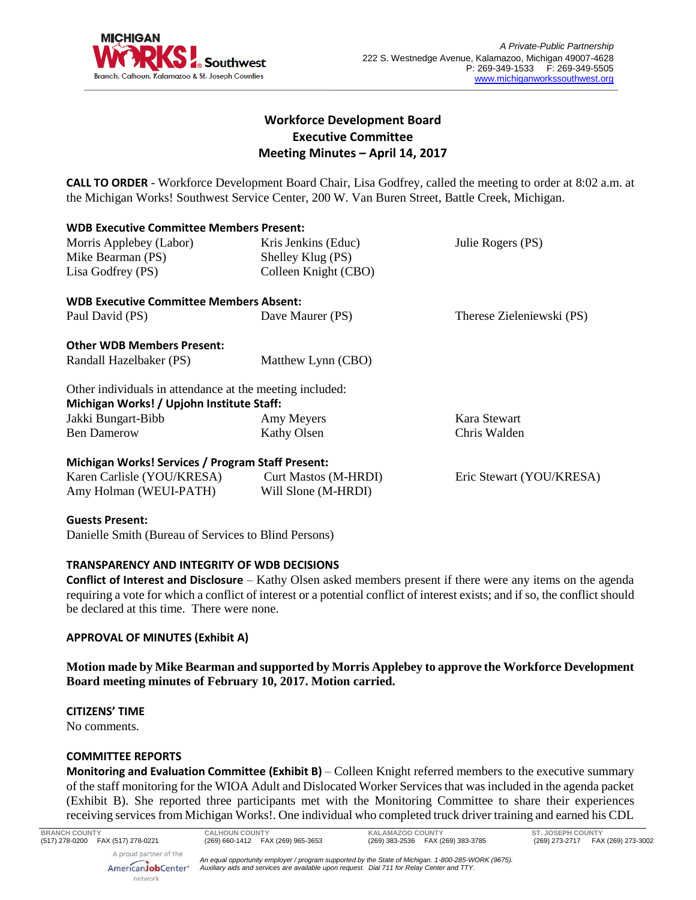

# **Workforce Development Board Executive Committee Meeting Minutes – April 14, 2017**

**CALL TO ORDER** - Workforce Development Board Chair, Lisa Godfrey, called the meeting to order at 8:02 a.m. at the Michigan Works! Southwest Service Center, 200 W. Van Buren Street, Battle Creek, Michigan.

| <b>WDB Executive Committee Members Present:</b>          |                             |                           |
|----------------------------------------------------------|-----------------------------|---------------------------|
| Morris Applebey (Labor)                                  | Kris Jenkins (Educ)         | Julie Rogers (PS)         |
| Mike Bearman (PS)                                        | Shelley Klug (PS)           |                           |
| Lisa Godfrey (PS)                                        | Colleen Knight (CBO)        |                           |
| <b>WDB Executive Committee Members Absent:</b>           |                             |                           |
| Paul David (PS)                                          | Dave Maurer (PS)            | Therese Zieleniewski (PS) |
| <b>Other WDB Members Present:</b>                        |                             |                           |
| Randall Hazelbaker (PS)                                  | Matthew Lynn (CBO)          |                           |
| Other individuals in attendance at the meeting included: |                             |                           |
| Michigan Works! / Upjohn Institute Staff:                |                             |                           |
| Jakki Bungart-Bibb                                       | Amy Meyers                  | Kara Stewart              |
| <b>Ben Damerow</b>                                       | Kathy Olsen                 | Chris Walden              |
| Michigan Works! Services / Program Staff Present:        |                             |                           |
| Karen Carlisle (YOU/KRESA)                               | <b>Curt Mastos (M-HRDI)</b> | Eric Stewart (YOU/KRESA)  |
| Amy Holman (WEUI-PATH)                                   | Will Slone (M-HRDI)         |                           |
|                                                          |                             |                           |

#### **Guests Present:**

Danielle Smith (Bureau of Services to Blind Persons)

## **TRANSPARENCY AND INTEGRITY OF WDB DECISIONS**

**Conflict of Interest and Disclosure** – Kathy Olsen asked members present if there were any items on the agenda requiring a vote for which a conflict of interest or a potential conflict of interest exists; and if so, the conflict should be declared at this time. There were none.

## **APPROVAL OF MINUTES (Exhibit A)**

**Motion made by Mike Bearman and supported by Morris Applebey to approve the Workforce Development Board meeting minutes of February 10, 2017. Motion carried.** 

#### **CITIZENS' TIME**

No comments.

#### **COMMITTEE REPORTS**

AmericanJobCenter<sup>®</sup> network

**Monitoring and Evaluation Committee (Exhibit B)** – Colleen Knight referred members to the executive summary of the staff monitoring for the WIOA Adult and Dislocated Worker Services that was included in the agenda packet (Exhibit B). She reported three participants met with the Monitoring Committee to share their experiences receiving services from Michigan Works!. One individual who completed truck driver training and earned his CDL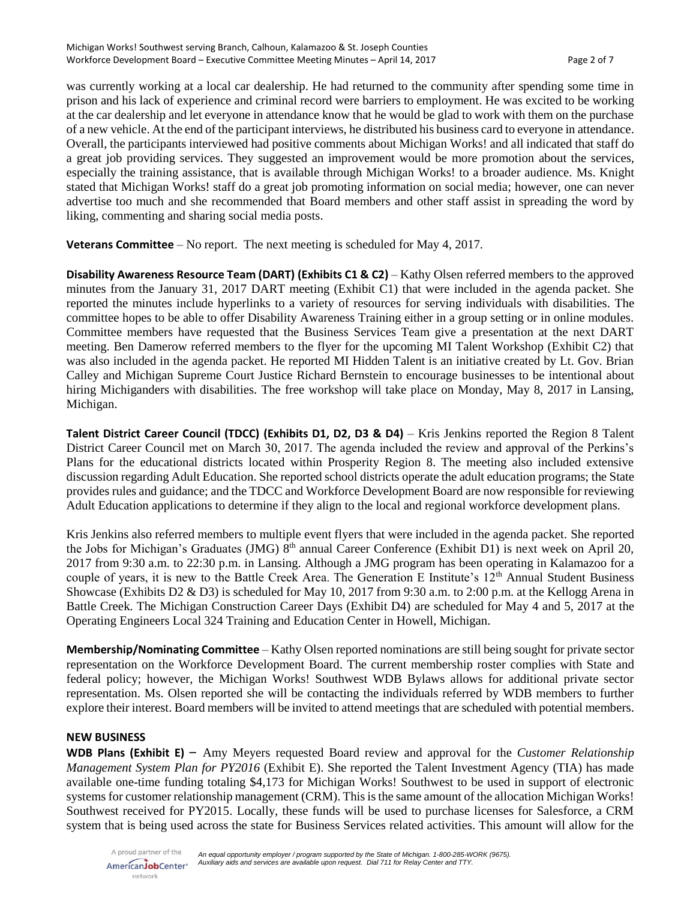was currently working at a local car dealership. He had returned to the community after spending some time in prison and his lack of experience and criminal record were barriers to employment. He was excited to be working at the car dealership and let everyone in attendance know that he would be glad to work with them on the purchase of a new vehicle. At the end of the participant interviews, he distributed his business card to everyone in attendance. Overall, the participants interviewed had positive comments about Michigan Works! and all indicated that staff do a great job providing services. They suggested an improvement would be more promotion about the services, especially the training assistance, that is available through Michigan Works! to a broader audience. Ms. Knight stated that Michigan Works! staff do a great job promoting information on social media; however, one can never advertise too much and she recommended that Board members and other staff assist in spreading the word by liking, commenting and sharing social media posts.

**Veterans Committee** – No report. The next meeting is scheduled for May 4, 2017.

**Disability Awareness Resource Team (DART) (Exhibits C1 & C2)** – Kathy Olsen referred members to the approved minutes from the January 31, 2017 DART meeting (Exhibit C1) that were included in the agenda packet. She reported the minutes include hyperlinks to a variety of resources for serving individuals with disabilities. The committee hopes to be able to offer Disability Awareness Training either in a group setting or in online modules. Committee members have requested that the Business Services Team give a presentation at the next DART meeting. Ben Damerow referred members to the flyer for the upcoming MI Talent Workshop (Exhibit C2) that was also included in the agenda packet. He reported MI Hidden Talent is an initiative created by Lt. Gov. Brian Calley and Michigan Supreme Court Justice Richard Bernstein to encourage businesses to be intentional about hiring Michiganders with disabilities. The free workshop will take place on Monday, May 8, 2017 in Lansing, Michigan.

**Talent District Career Council (TDCC) (Exhibits D1, D2, D3 & D4)** – Kris Jenkins reported the Region 8 Talent District Career Council met on March 30, 2017. The agenda included the review and approval of the Perkins's Plans for the educational districts located within Prosperity Region 8. The meeting also included extensive discussion regarding Adult Education. She reported school districts operate the adult education programs; the State provides rules and guidance; and the TDCC and Workforce Development Board are now responsible for reviewing Adult Education applications to determine if they align to the local and regional workforce development plans.

Kris Jenkins also referred members to multiple event flyers that were included in the agenda packet. She reported the Jobs for Michigan's Graduates (JMG) 8<sup>th</sup> annual Career Conference (Exhibit D1) is next week on April 20, 2017 from 9:30 a.m. to 22:30 p.m. in Lansing. Although a JMG program has been operating in Kalamazoo for a couple of years, it is new to the Battle Creek Area. The Generation E Institute's 12<sup>th</sup> Annual Student Business Showcase (Exhibits D2 & D3) is scheduled for May 10, 2017 from 9:30 a.m. to 2:00 p.m. at the Kellogg Arena in Battle Creek. The Michigan Construction Career Days (Exhibit D4) are scheduled for May 4 and 5, 2017 at the Operating Engineers Local 324 Training and Education Center in Howell, Michigan.

**Membership/Nominating Committee** – Kathy Olsen reported nominations are still being sought for private sector representation on the Workforce Development Board. The current membership roster complies with State and federal policy; however, the Michigan Works! Southwest WDB Bylaws allows for additional private sector representation. Ms. Olsen reported she will be contacting the individuals referred by WDB members to further explore their interest. Board members will be invited to attend meetings that are scheduled with potential members.

## **NEW BUSINESS**

**WDB Plans (Exhibit E)** – Amy Meyers requested Board review and approval for the *Customer Relationship Management System Plan for PY2016* (Exhibit E). She reported the Talent Investment Agency (TIA) has made available one-time funding totaling \$4,173 for Michigan Works! Southwest to be used in support of electronic systems for customer relationship management (CRM). This is the same amount of the allocation Michigan Works! Southwest received for PY2015. Locally, these funds will be used to purchase licenses for Salesforce, a CRM system that is being used across the state for Business Services related activities. This amount will allow for the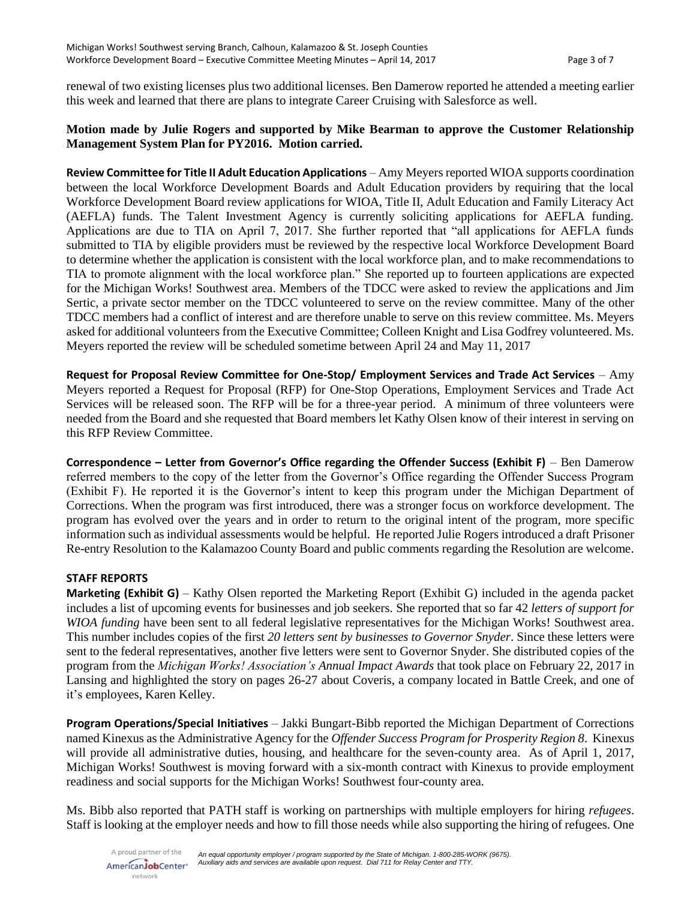renewal of two existing licenses plus two additional licenses. Ben Damerow reported he attended a meeting earlier this week and learned that there are plans to integrate Career Cruising with Salesforce as well.

## **Motion made by Julie Rogers and supported by Mike Bearman to approve the Customer Relationship Management System Plan for PY2016. Motion carried.**

**Review Committee for Title II Adult Education Applications** – Amy Meyers reported WIOA supports coordination between the local Workforce Development Boards and Adult Education providers by requiring that the local Workforce Development Board review applications for WIOA, Title II, Adult Education and Family Literacy Act (AEFLA) funds. The Talent Investment Agency is currently soliciting applications for AEFLA funding. Applications are due to TIA on April 7, 2017. She further reported that "all applications for AEFLA funds submitted to TIA by eligible providers must be reviewed by the respective local Workforce Development Board to determine whether the application is consistent with the local workforce plan, and to make recommendations to TIA to promote alignment with the local workforce plan." She reported up to fourteen applications are expected for the Michigan Works! Southwest area. Members of the TDCC were asked to review the applications and Jim Sertic, a private sector member on the TDCC volunteered to serve on the review committee. Many of the other TDCC members had a conflict of interest and are therefore unable to serve on this review committee. Ms. Meyers asked for additional volunteers from the Executive Committee; Colleen Knight and Lisa Godfrey volunteered. Ms. Meyers reported the review will be scheduled sometime between April 24 and May 11, 2017

**Request for Proposal Review Committee for One-Stop/ Employment Services and Trade Act Services** – Amy Meyers reported a Request for Proposal (RFP) for One-Stop Operations, Employment Services and Trade Act Services will be released soon. The RFP will be for a three-year period. A minimum of three volunteers were needed from the Board and she requested that Board members let Kathy Olsen know of their interest in serving on this RFP Review Committee.

**Correspondence – Letter from Governor's Office regarding the Offender Success (Exhibit F)** – Ben Damerow referred members to the copy of the letter from the Governor's Office regarding the Offender Success Program (Exhibit F). He reported it is the Governor's intent to keep this program under the Michigan Department of Corrections. When the program was first introduced, there was a stronger focus on workforce development. The program has evolved over the years and in order to return to the original intent of the program, more specific information such as individual assessments would be helpful. He reported Julie Rogers introduced a draft Prisoner Re-entry Resolution to the Kalamazoo County Board and public comments regarding the Resolution are welcome.

## **STAFF REPORTS**

**Marketing (Exhibit G)** – Kathy Olsen reported the Marketing Report (Exhibit G) included in the agenda packet includes a list of upcoming events for businesses and job seekers. She reported that so far 42 *letters of support for WIOA funding* have been sent to all federal legislative representatives for the Michigan Works! Southwest area. This number includes copies of the first *20 letters sent by businesses to Governor Snyder*. Since these letters were sent to the federal representatives, another five letters were sent to Governor Snyder. She distributed copies of the program from the *Michigan Works! Association's Annual Impact Awards* that took place on February 22, 2017 in Lansing and highlighted the story on pages 26-27 about Coveris, a company located in Battle Creek, and one of it's employees, Karen Kelley.

**Program Operations/Special Initiatives** – Jakki Bungart-Bibb reported the Michigan Department of Corrections named Kinexus as the Administrative Agency for the *Offender Success Program for Prosperity Region 8*. Kinexus will provide all administrative duties, housing, and healthcare for the seven-county area. As of April 1, 2017, Michigan Works! Southwest is moving forward with a six-month contract with Kinexus to provide employment readiness and social supports for the Michigan Works! Southwest four-county area.

Ms. Bibb also reported that PATH staff is working on partnerships with multiple employers for hiring *refugees*. Staff is looking at the employer needs and how to fill those needs while also supporting the hiring of refugees. One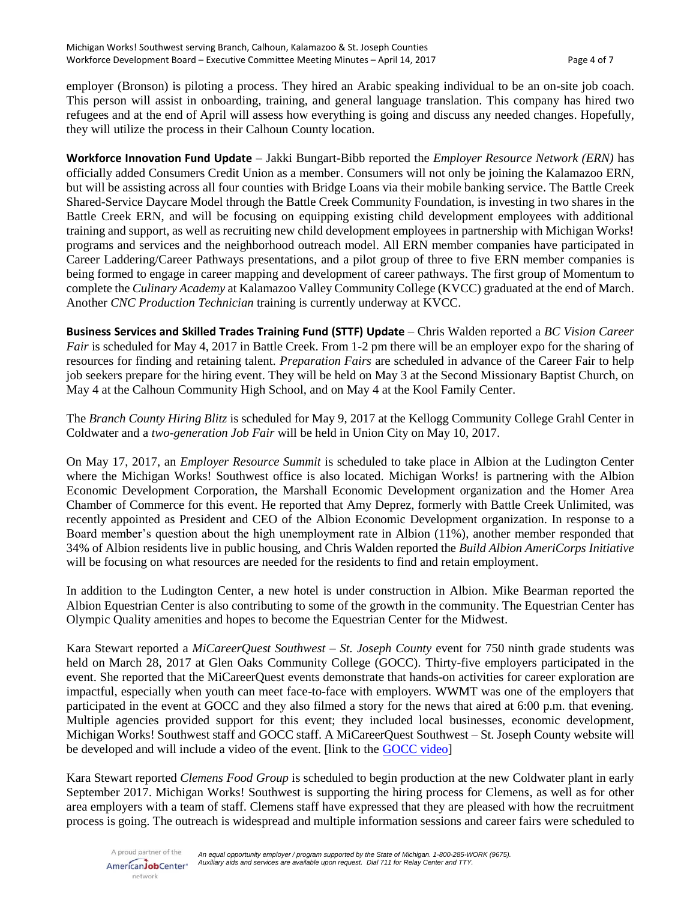employer (Bronson) is piloting a process. They hired an Arabic speaking individual to be an on-site job coach. This person will assist in onboarding, training, and general language translation. This company has hired two refugees and at the end of April will assess how everything is going and discuss any needed changes. Hopefully, they will utilize the process in their Calhoun County location.

**Workforce Innovation Fund Update** – Jakki Bungart-Bibb reported the *Employer Resource Network (ERN)* has officially added Consumers Credit Union as a member. Consumers will not only be joining the Kalamazoo ERN, but will be assisting across all four counties with Bridge Loans via their mobile banking service. The Battle Creek Shared-Service Daycare Model through the Battle Creek Community Foundation, is investing in two shares in the Battle Creek ERN, and will be focusing on equipping existing child development employees with additional training and support, as well as recruiting new child development employees in partnership with Michigan Works! programs and services and the neighborhood outreach model. All ERN member companies have participated in Career Laddering/Career Pathways presentations, and a pilot group of three to five ERN member companies is being formed to engage in career mapping and development of career pathways. The first group of Momentum to complete the *Culinary Academy* at Kalamazoo Valley Community College (KVCC) graduated at the end of March. Another *CNC Production Technician* training is currently underway at KVCC.

**Business Services and Skilled Trades Training Fund (STTF) Update** – Chris Walden reported a *BC Vision Career Fair* is scheduled for May 4, 2017 in Battle Creek. From 1-2 pm there will be an employer expo for the sharing of resources for finding and retaining talent. *Preparation Fairs* are scheduled in advance of the Career Fair to help job seekers prepare for the hiring event. They will be held on May 3 at the Second Missionary Baptist Church, on May 4 at the Calhoun Community High School, and on May 4 at the Kool Family Center.

The *Branch County Hiring Blitz* is scheduled for May 9, 2017 at the Kellogg Community College Grahl Center in Coldwater and a *two-generation Job Fair* will be held in Union City on May 10, 2017.

On May 17, 2017, an *Employer Resource Summit* is scheduled to take place in Albion at the Ludington Center where the Michigan Works! Southwest office is also located. Michigan Works! is partnering with the Albion Economic Development Corporation, the Marshall Economic Development organization and the Homer Area Chamber of Commerce for this event. He reported that Amy Deprez, formerly with Battle Creek Unlimited, was recently appointed as President and CEO of the Albion Economic Development organization. In response to a Board member's question about the high unemployment rate in Albion (11%), another member responded that 34% of Albion residents live in public housing, and Chris Walden reported the *Build Albion AmeriCorps Initiative* will be focusing on what resources are needed for the residents to find and retain employment.

In addition to the Ludington Center, a new hotel is under construction in Albion. Mike Bearman reported the Albion Equestrian Center is also contributing to some of the growth in the community. The Equestrian Center has Olympic Quality amenities and hopes to become the Equestrian Center for the Midwest.

Kara Stewart reported a *MiCareerQuest Southwest – St. Joseph County* event for 750 ninth grade students was held on March 28, 2017 at Glen Oaks Community College (GOCC). Thirty-five employers participated in the event. She reported that the MiCareerQuest events demonstrate that hands-on activities for career exploration are impactful, especially when youth can meet face-to-face with employers. WWMT was one of the employers that participated in the event at GOCC and they also filmed a story for the news that aired at 6:00 p.m. that evening. Multiple agencies provided support for this event; they included local businesses, economic development, Michigan Works! Southwest staff and GOCC staff. A MiCareerQuest Southwest – St. Joseph County website will be developed and will include a video of the event. [link to the [GOCC video\]](https://www.youtube.com/watch?v=_OpcOHu6GpU)

Kara Stewart reported *Clemens Food Group* is scheduled to begin production at the new Coldwater plant in early September 2017. Michigan Works! Southwest is supporting the hiring process for Clemens, as well as for other area employers with a team of staff. Clemens staff have expressed that they are pleased with how the recruitment process is going. The outreach is widespread and multiple information sessions and career fairs were scheduled to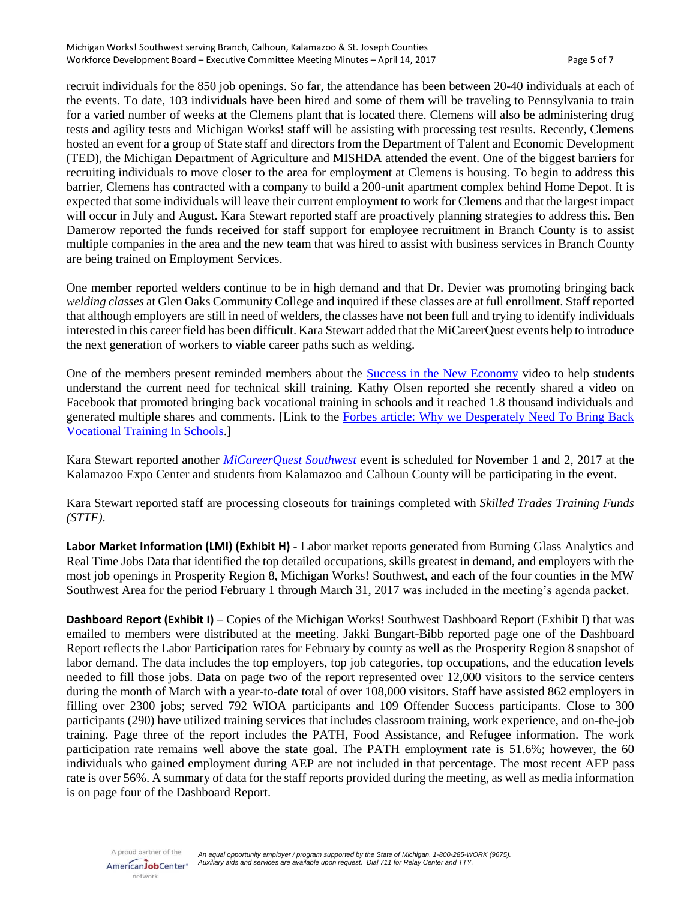recruit individuals for the 850 job openings. So far, the attendance has been between 20-40 individuals at each of the events. To date, 103 individuals have been hired and some of them will be traveling to Pennsylvania to train for a varied number of weeks at the Clemens plant that is located there. Clemens will also be administering drug tests and agility tests and Michigan Works! staff will be assisting with processing test results. Recently, Clemens hosted an event for a group of State staff and directors from the Department of Talent and Economic Development (TED), the Michigan Department of Agriculture and MISHDA attended the event. One of the biggest barriers for recruiting individuals to move closer to the area for employment at Clemens is housing. To begin to address this barrier, Clemens has contracted with a company to build a 200-unit apartment complex behind Home Depot. It is expected that some individuals will leave their current employment to work for Clemens and that the largest impact will occur in July and August. Kara Stewart reported staff are proactively planning strategies to address this. Ben Damerow reported the funds received for staff support for employee recruitment in Branch County is to assist multiple companies in the area and the new team that was hired to assist with business services in Branch County are being trained on Employment Services.

One member reported welders continue to be in high demand and that Dr. Devier was promoting bringing back *welding classes* at Glen Oaks Community College and inquired if these classes are at full enrollment. Staff reported that although employers are still in need of welders, the classes have not been full and trying to identify individuals interested in this career field has been difficult. Kara Stewart added that the MiCareerQuest events help to introduce the next generation of workers to viable career paths such as welding.

One of the members present reminded members about the [Success in the New Economy](https://vimeo.com/67277269) video to help students understand the current need for technical skill training. Kathy Olsen reported she recently shared a video on Facebook that promoted bringing back vocational training in schools and it reached 1.8 thousand individuals and generated multiple shares and comments. [Link to the [Forbes article: Why we Desperately Need To Bring Back](https://www.forbes.com/sites/nicholaswyman/2015/09/01/why-we-desperately-need-to-bring-back-vocational-training-in-schools/#48f1492387ad)  [Vocational Training In Schools.](https://www.forbes.com/sites/nicholaswyman/2015/09/01/why-we-desperately-need-to-bring-back-vocational-training-in-schools/#48f1492387ad)]

Kara Stewart reported another *[MiCareerQuest Southwest](http://www.micareerquestsw.org/)* event is scheduled for November 1 and 2, 2017 at the Kalamazoo Expo Center and students from Kalamazoo and Calhoun County will be participating in the event.

Kara Stewart reported staff are processing closeouts for trainings completed with *Skilled Trades Training Funds (STTF)*.

**Labor Market Information (LMI) (Exhibit H)** - Labor market reports generated from Burning Glass Analytics and Real Time Jobs Data that identified the top detailed occupations, skills greatest in demand, and employers with the most job openings in Prosperity Region 8, Michigan Works! Southwest, and each of the four counties in the MW Southwest Area for the period February 1 through March 31, 2017 was included in the meeting's agenda packet.

**Dashboard Report (Exhibit I)** – Copies of the Michigan Works! Southwest Dashboard Report (Exhibit I) that was emailed to members were distributed at the meeting. Jakki Bungart-Bibb reported page one of the Dashboard Report reflects the Labor Participation rates for February by county as well as the Prosperity Region 8 snapshot of labor demand. The data includes the top employers, top job categories, top occupations, and the education levels needed to fill those jobs. Data on page two of the report represented over 12,000 visitors to the service centers during the month of March with a year-to-date total of over 108,000 visitors. Staff have assisted 862 employers in filling over 2300 jobs; served 792 WIOA participants and 109 Offender Success participants. Close to 300 participants (290) have utilized training services that includes classroom training, work experience, and on-the-job training. Page three of the report includes the PATH, Food Assistance, and Refugee information. The work participation rate remains well above the state goal. The PATH employment rate is 51.6%; however, the 60 individuals who gained employment during AEP are not included in that percentage. The most recent AEP pass rate is over 56%. A summary of data for the staff reports provided during the meeting, as well as media information is on page four of the Dashboard Report.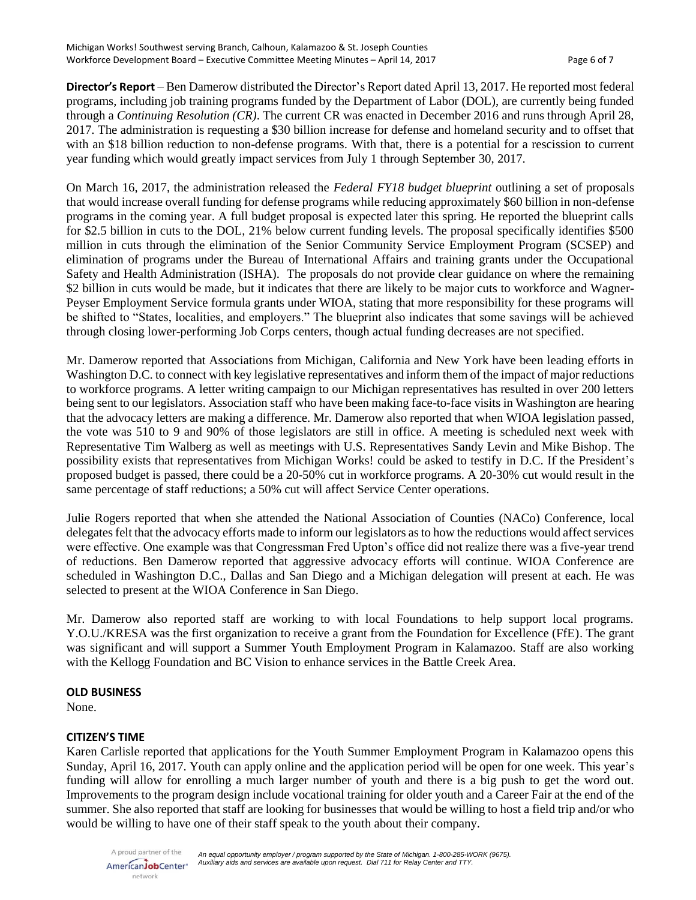**Director's Report** – Ben Damerow distributed the Director's Report dated April 13, 2017. He reported most federal programs, including job training programs funded by the Department of Labor (DOL), are currently being funded through a *Continuing Resolution (CR)*. The current CR was enacted in December 2016 and runs through April 28, 2017. The administration is requesting a \$30 billion increase for defense and homeland security and to offset that with an \$18 billion reduction to non-defense programs. With that, there is a potential for a rescission to current year funding which would greatly impact services from July 1 through September 30, 2017.

On March 16, 2017, the administration released the *Federal FY18 budget blueprint* outlining a set of proposals that would increase overall funding for defense programs while reducing approximately \$60 billion in non-defense programs in the coming year. A full budget proposal is expected later this spring. He reported the blueprint calls for \$2.5 billion in cuts to the DOL, 21% below current funding levels. The proposal specifically identifies \$500 million in cuts through the elimination of the Senior Community Service Employment Program (SCSEP) and elimination of programs under the Bureau of International Affairs and training grants under the Occupational Safety and Health Administration (ISHA). The proposals do not provide clear guidance on where the remaining \$2 billion in cuts would be made, but it indicates that there are likely to be major cuts to workforce and Wagner-Peyser Employment Service formula grants under WIOA, stating that more responsibility for these programs will be shifted to "States, localities, and employers." The blueprint also indicates that some savings will be achieved through closing lower-performing Job Corps centers, though actual funding decreases are not specified.

Mr. Damerow reported that Associations from Michigan, California and New York have been leading efforts in Washington D.C. to connect with key legislative representatives and inform them of the impact of major reductions to workforce programs. A letter writing campaign to our Michigan representatives has resulted in over 200 letters being sent to our legislators. Association staff who have been making face-to-face visits in Washington are hearing that the advocacy letters are making a difference. Mr. Damerow also reported that when WIOA legislation passed, the vote was 510 to 9 and 90% of those legislators are still in office. A meeting is scheduled next week with Representative Tim Walberg as well as meetings with U.S. Representatives Sandy Levin and Mike Bishop. The possibility exists that representatives from Michigan Works! could be asked to testify in D.C. If the President's proposed budget is passed, there could be a 20-50% cut in workforce programs. A 20-30% cut would result in the same percentage of staff reductions; a 50% cut will affect Service Center operations.

Julie Rogers reported that when she attended the National Association of Counties (NACo) Conference, local delegates felt that the advocacy efforts made to inform our legislators as to how the reductions would affect services were effective. One example was that Congressman Fred Upton's office did not realize there was a five-year trend of reductions. Ben Damerow reported that aggressive advocacy efforts will continue. WIOA Conference are scheduled in Washington D.C., Dallas and San Diego and a Michigan delegation will present at each. He was selected to present at the WIOA Conference in San Diego.

Mr. Damerow also reported staff are working to with local Foundations to help support local programs. Y.O.U./KRESA was the first organization to receive a grant from the Foundation for Excellence (FfE). The grant was significant and will support a Summer Youth Employment Program in Kalamazoo. Staff are also working with the Kellogg Foundation and BC Vision to enhance services in the Battle Creek Area.

#### **OLD BUSINESS**

None.

## **CITIZEN'S TIME**

Karen Carlisle reported that applications for the Youth Summer Employment Program in Kalamazoo opens this Sunday, April 16, 2017. Youth can apply online and the application period will be open for one week. This year's funding will allow for enrolling a much larger number of youth and there is a big push to get the word out. Improvements to the program design include vocational training for older youth and a Career Fair at the end of the summer. She also reported that staff are looking for businesses that would be willing to host a field trip and/or who would be willing to have one of their staff speak to the youth about their company.